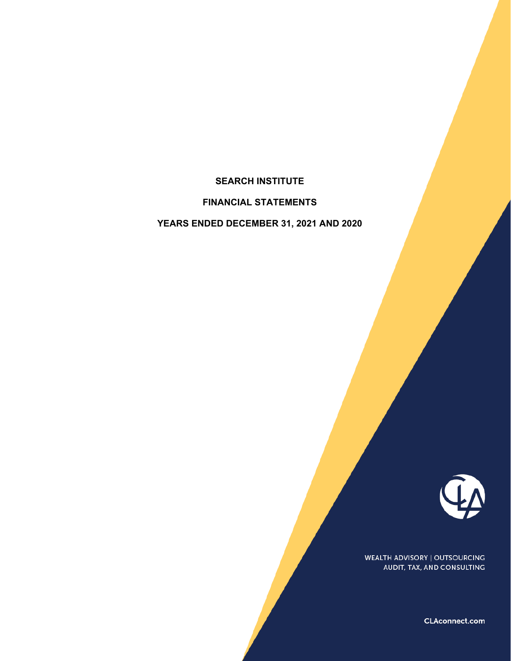# **SEARCH INSTITUTE**

#### **FINANCIAL STATEMENTS**

**YEARS ENDED DECEMBER 31, 2021 AND 2020** 



WEALTH ADVISORY | OUTSOURCING AUDIT, TAX, AND CONSULTING

CLAconnect.com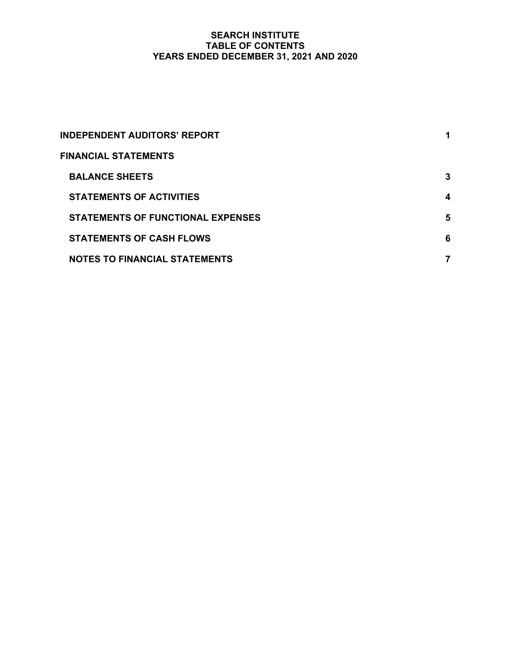## **SEARCH INSTITUTE TABLE OF CONTENTS YEARS ENDED DECEMBER 31, 2021 AND 2020**

| <b>INDEPENDENT AUDITORS' REPORT</b>      |   |
|------------------------------------------|---|
| <b>FINANCIAL STATEMENTS</b>              |   |
| <b>BALANCE SHEETS</b>                    | 3 |
| <b>STATEMENTS OF ACTIVITIES</b>          | 4 |
| <b>STATEMENTS OF FUNCTIONAL EXPENSES</b> | 5 |
| <b>STATEMENTS OF CASH FLOWS</b>          | 6 |
| <b>NOTES TO FINANCIAL STATEMENTS</b>     |   |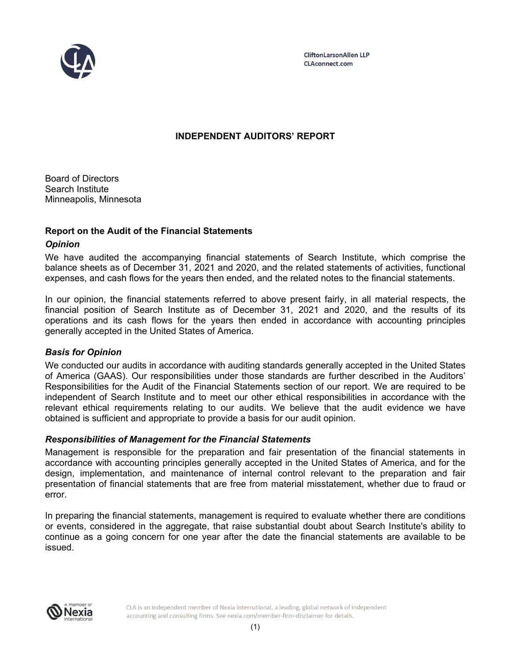

**CliftonLarsonAllen LLP CLAconnect.com** 

## **INDEPENDENT AUDITORS' REPORT**

Board of Directors Search Institute Minneapolis, Minnesota

## **Report on the Audit of the Financial Statements**

### *Opinion*

We have audited the accompanying financial statements of Search Institute, which comprise the balance sheets as of December 31, 2021 and 2020, and the related statements of activities, functional expenses, and cash flows for the years then ended, and the related notes to the financial statements.

In our opinion, the financial statements referred to above present fairly, in all material respects, the financial position of Search Institute as of December 31, 2021 and 2020, and the results of its operations and its cash flows for the years then ended in accordance with accounting principles generally accepted in the United States of America.

## *Basis for Opinion*

We conducted our audits in accordance with auditing standards generally accepted in the United States of America (GAAS). Our responsibilities under those standards are further described in the Auditors' Responsibilities for the Audit of the Financial Statements section of our report. We are required to be independent of Search Institute and to meet our other ethical responsibilities in accordance with the relevant ethical requirements relating to our audits. We believe that the audit evidence we have obtained is sufficient and appropriate to provide a basis for our audit opinion.

## *Responsibilities of Management for the Financial Statements*

Management is responsible for the preparation and fair presentation of the financial statements in accordance with accounting principles generally accepted in the United States of America, and for the design, implementation, and maintenance of internal control relevant to the preparation and fair presentation of financial statements that are free from material misstatement, whether due to fraud or error.

In preparing the financial statements, management is required to evaluate whether there are conditions or events, considered in the aggregate, that raise substantial doubt about Search Institute's ability to continue as a going concern for one year after the date the financial statements are available to be issued.

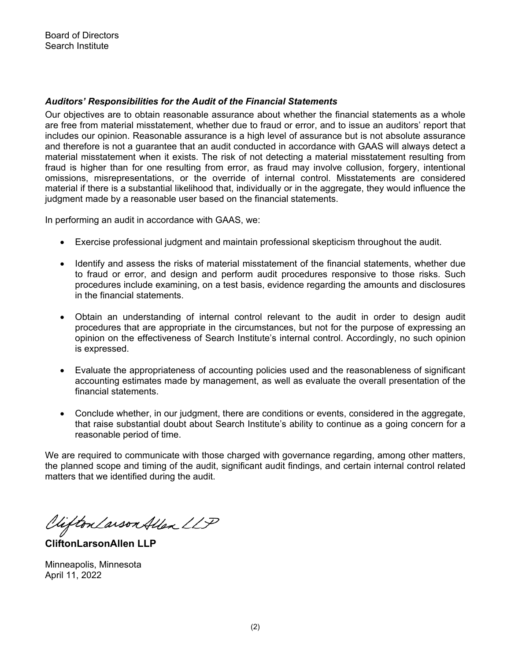## *Auditors' Responsibilities for the Audit of the Financial Statements*

Our objectives are to obtain reasonable assurance about whether the financial statements as a whole are free from material misstatement, whether due to fraud or error, and to issue an auditors' report that includes our opinion. Reasonable assurance is a high level of assurance but is not absolute assurance and therefore is not a guarantee that an audit conducted in accordance with GAAS will always detect a material misstatement when it exists. The risk of not detecting a material misstatement resulting from fraud is higher than for one resulting from error, as fraud may involve collusion, forgery, intentional omissions, misrepresentations, or the override of internal control. Misstatements are considered material if there is a substantial likelihood that, individually or in the aggregate, they would influence the judgment made by a reasonable user based on the financial statements.

In performing an audit in accordance with GAAS, we:

- Exercise professional judgment and maintain professional skepticism throughout the audit.
- Identify and assess the risks of material misstatement of the financial statements, whether due to fraud or error, and design and perform audit procedures responsive to those risks. Such procedures include examining, on a test basis, evidence regarding the amounts and disclosures in the financial statements.
- Obtain an understanding of internal control relevant to the audit in order to design audit procedures that are appropriate in the circumstances, but not for the purpose of expressing an opinion on the effectiveness of Search Institute's internal control. Accordingly, no such opinion is expressed.
- Evaluate the appropriateness of accounting policies used and the reasonableness of significant accounting estimates made by management, as well as evaluate the overall presentation of the financial statements.
- Conclude whether, in our judgment, there are conditions or events, considered in the aggregate, that raise substantial doubt about Search Institute's ability to continue as a going concern for a reasonable period of time.

We are required to communicate with those charged with governance regarding, among other matters, the planned scope and timing of the audit, significant audit findings, and certain internal control related matters that we identified during the audit.

Viifton Larson Allen LLP

**CliftonLarsonAllen LLP** 

Minneapolis, Minnesota April 11, 2022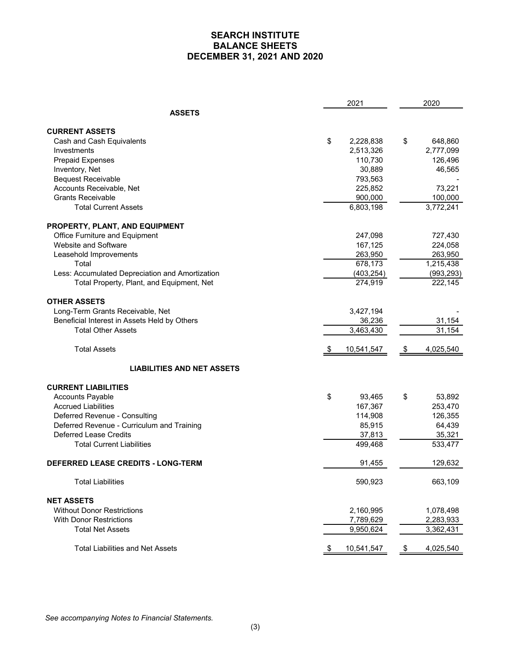## **SEARCH INSTITUTE BALANCE SHEETS DECEMBER 31, 2021 AND 2020**

|                                                 | 2021            |     | 2020       |
|-------------------------------------------------|-----------------|-----|------------|
| <b>ASSETS</b>                                   |                 |     |            |
| <b>CURRENT ASSETS</b>                           |                 |     |            |
| Cash and Cash Equivalents                       | \$<br>2,228,838 | \$  | 648,860    |
| Investments                                     | 2,513,326       |     | 2,777,099  |
| <b>Prepaid Expenses</b>                         | 110,730         |     | 126,496    |
| Inventory, Net                                  | 30,889          |     | 46,565     |
| <b>Bequest Receivable</b>                       | 793,563         |     |            |
| Accounts Receivable, Net                        | 225,852         |     | 73,221     |
| <b>Grants Receivable</b>                        | 900,000         |     | 100,000    |
| <b>Total Current Assets</b>                     | 6,803,198       |     | 3,772,241  |
| PROPERTY, PLANT, AND EQUIPMENT                  |                 |     |            |
| Office Furniture and Equipment                  | 247,098         |     | 727,430    |
| Website and Software                            | 167,125         |     | 224,058    |
| Leasehold Improvements                          | 263,950         |     | 263,950    |
| Total                                           | 678,173         |     | 1,215,438  |
| Less: Accumulated Depreciation and Amortization | (403, 254)      |     | (993, 293) |
| Total Property, Plant, and Equipment, Net       | 274,919         |     | 222,145    |
| <b>OTHER ASSETS</b>                             |                 |     |            |
| Long-Term Grants Receivable, Net                | 3,427,194       |     |            |
| Beneficial Interest in Assets Held by Others    | 36,236          |     | 31,154     |
| <b>Total Other Assets</b>                       | 3,463,430       |     | 31,154     |
| <b>Total Assets</b>                             | 10,541,547      | - 5 | 4,025,540  |
| <b>LIABILITIES AND NET ASSETS</b>               |                 |     |            |
| <b>CURRENT LIABILITIES</b>                      |                 |     |            |
| <b>Accounts Payable</b>                         | \$<br>93,465    | \$  | 53,892     |
| <b>Accrued Liabilities</b>                      | 167,367         |     | 253,470    |
| Deferred Revenue - Consulting                   | 114,908         |     | 126,355    |
| Deferred Revenue - Curriculum and Training      | 85,915          |     | 64,439     |
| Deferred Lease Credits                          | 37,813          |     | 35,321     |
| <b>Total Current Liabilities</b>                | 499,468         |     | 533,477    |
| <b>DEFERRED LEASE CREDITS - LONG-TERM</b>       | 91,455          |     | 129,632    |
| <b>Total Liabilities</b>                        | 590,923         |     | 663,109    |
| <b>NET ASSETS</b>                               |                 |     |            |
| <b>Without Donor Restrictions</b>               | 2,160,995       |     | 1,078,498  |
| <b>With Donor Restrictions</b>                  | 7,789,629       |     | 2,283,933  |
| <b>Total Net Assets</b>                         | 9,950,624       |     | 3,362,431  |
| <b>Total Liabilities and Net Assets</b>         | 10,541,547      | \$  | 4,025,540  |

*See accompanying Notes to Financial Statements.*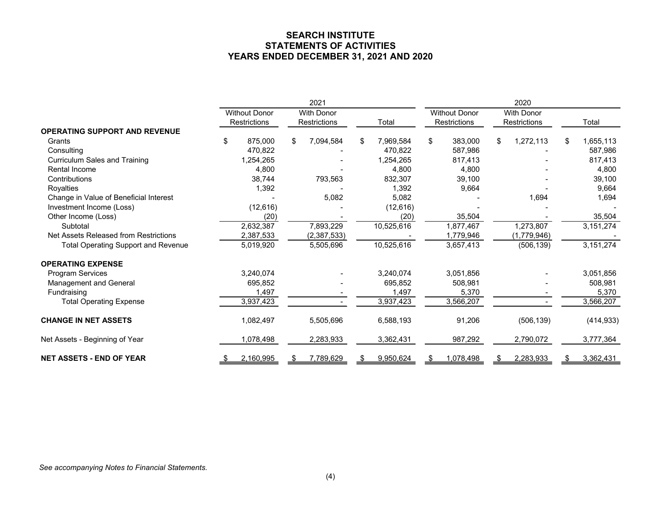#### **SEARCH INSTITUTE STATEMENTS OF ACTIVITIES YEARS ENDED DECEMBER 31, 2021 AND 2020**

|                                            | 2021 |                      |     |                   |    |            | 2020 |                      |     |                   |    |            |
|--------------------------------------------|------|----------------------|-----|-------------------|----|------------|------|----------------------|-----|-------------------|----|------------|
|                                            |      | <b>Without Donor</b> |     | <b>With Donor</b> |    |            |      | <b>Without Donor</b> |     | <b>With Donor</b> |    |            |
|                                            |      | Restrictions         |     | Restrictions      |    | Total      |      | Restrictions         |     | Restrictions      |    | Total      |
| <b>OPERATING SUPPORT AND REVENUE</b>       |      |                      |     |                   |    |            |      |                      |     |                   |    |            |
| Grants                                     | \$   | 875.000              | \$  | 7,094,584         | \$ | 7,969,584  | \$   | 383.000              | \$  | 1,272,113         | \$ | ,655,113   |
| Consulting                                 |      | 470.822              |     |                   |    | 470.822    |      | 587,986              |     |                   |    | 587,986    |
| <b>Curriculum Sales and Training</b>       |      | 1,254,265            |     |                   |    | 1,254,265  |      | 817,413              |     |                   |    | 817,413    |
| Rental Income                              |      | 4.800                |     |                   |    | 4,800      |      | 4,800                |     |                   |    | 4,800      |
| Contributions                              |      | 38,744               |     | 793,563           |    | 832,307    |      | 39,100               |     |                   |    | 39,100     |
| Royalties                                  |      | 1,392                |     |                   |    | 1,392      |      | 9,664                |     |                   |    | 9,664      |
| Change in Value of Beneficial Interest     |      |                      |     | 5,082             |    | 5,082      |      |                      |     | 1,694             |    | 1,694      |
| Investment Income (Loss)                   |      | (12, 616)            |     |                   |    | (12, 616)  |      |                      |     |                   |    |            |
| Other Income (Loss)                        |      | (20)                 |     |                   |    | (20)       |      | 35,504               |     |                   |    | 35,504     |
| Subtotal                                   |      | 2,632,387            |     | 7,893,229         |    | 10,525,616 |      | 1,877,467            |     | 1,273,807         |    | 3,151,274  |
| Net Assets Released from Restrictions      |      | 2,387,533            |     | (2,387,533)       |    |            |      | 1,779,946            |     | (1,779,946)       |    |            |
| <b>Total Operating Support and Revenue</b> |      | 5,019,920            |     | 5,505,696         |    | 10,525,616 |      | 3,657,413            |     | (506, 139)        |    | 3,151,274  |
| <b>OPERATING EXPENSE</b>                   |      |                      |     |                   |    |            |      |                      |     |                   |    |            |
| Program Services                           |      | 3,240,074            |     |                   |    | 3,240,074  |      | 3,051,856            |     |                   |    | 3,051,856  |
| Management and General                     |      | 695.852              |     |                   |    | 695.852    |      | 508,981              |     |                   |    | 508,981    |
| Fundraising                                |      | 1,497                |     |                   |    | 1,497      |      | 5,370                |     |                   |    | 5,370      |
| <b>Total Operating Expense</b>             |      | 3,937,423            |     |                   |    | 3,937,423  |      | 3,566,207            |     |                   |    | 3,566,207  |
| <b>CHANGE IN NET ASSETS</b>                |      | 1,082,497            |     | 5,505,696         |    | 6,588,193  |      | 91,206               |     | (506, 139)        |    | (414, 933) |
| Net Assets - Beginning of Year             |      | 1,078,498            |     | 2,283,933         |    | 3,362,431  |      | 987,292              |     | 2,790,072         |    | 3,777,364  |
| <b>NET ASSETS - END OF YEAR</b>            | - 95 | 2,160,995            | -SS | 7,789,629         | -S | 9,950,624  | \$   | 1,078,498            | - 5 | 2,283,933         | S. | 3,362,431  |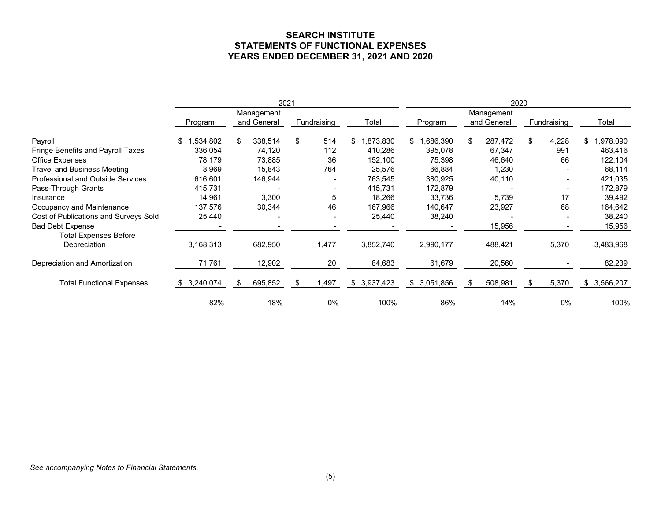#### **SEARCH INSTITUTE STATEMENTS OF FUNCTIONAL EXPENSES YEARS ENDED DECEMBER 31, 2021 AND 2020**

|                                          |                           | 2021 |             |    |             |                 | 2020            |  |             |    |                          |                 |
|------------------------------------------|---------------------------|------|-------------|----|-------------|-----------------|-----------------|--|-------------|----|--------------------------|-----------------|
|                                          |                           |      | Management  |    |             |                 |                 |  | Management  |    |                          |                 |
|                                          | Program                   |      | and General |    | Fundraising | Total           | Program         |  | and General |    | Fundraising              | Total           |
| Payroll                                  | $$^{\circ}$ 1<br>.534,802 | \$   | 338,514     | \$ | 514         | \$<br>1,873,830 | \$<br>1,686,390 |  | 287,472     | \$ | 4,228                    | 1,978,090<br>\$ |
| <b>Fringe Benefits and Payroll Taxes</b> | 336,054                   |      | 74,120      |    | 112         | 410,286         | 395,078         |  | 67,347      |    | 991                      | 463,416         |
| Office Expenses                          | 78,179                    |      | 73,885      |    | 36          | 152,100         | 75,398          |  | 46,640      |    | 66                       | 122,104         |
| <b>Travel and Business Meeting</b>       | 8,969                     |      | 15,843      |    | 764         | 25,576          | 66,884          |  | 1,230       |    |                          | 68,114          |
| <b>Professional and Outside Services</b> | 616,601                   |      | 146,944     |    |             | 763,545         | 380,925         |  | 40,110      |    |                          | 421,035         |
| Pass-Through Grants                      | 415,731                   |      |             |    |             | 415,731         | 172,879         |  |             |    | $\overline{\phantom{0}}$ | 172,879         |
| Insurance                                | 14,961                    |      | 3,300       |    | 5           | 18,266          | 33,736          |  | 5,739       |    | 17                       | 39,492          |
| Occupancy and Maintenance                | 137,576                   |      | 30,344      |    | 46          | 167,966         | 140,647         |  | 23,927      |    | 68                       | 164,642         |
| Cost of Publications and Surveys Sold    | 25,440                    |      |             |    |             | 25,440          | 38,240          |  |             |    |                          | 38,240          |
| <b>Bad Debt Expense</b>                  |                           |      |             |    |             |                 |                 |  | 15,956      |    |                          | 15,956          |
| Total Expenses Before                    |                           |      |             |    |             |                 |                 |  |             |    |                          |                 |
| Depreciation                             | 3,168,313                 |      | 682,950     |    | 1,477       | 3,852,740       | 2,990,177       |  | 488,421     |    | 5,370                    | 3,483,968       |
| Depreciation and Amortization            | 71,761                    |      | 12,902      |    | 20          | 84,683          | 61,679          |  | 20,560      |    |                          | 82,239          |
| <b>Total Functional Expenses</b>         | 3,240,074                 | S    | 695,852     |    | 1,497       | \$3,937,423     | \$3,051,856     |  | 508,981     | S. | 5,370                    | \$3,566,207     |
|                                          | 82%                       |      | 18%         |    | $0\%$       | 100%            | 86%             |  | 14%         |    | 0%                       | 100%            |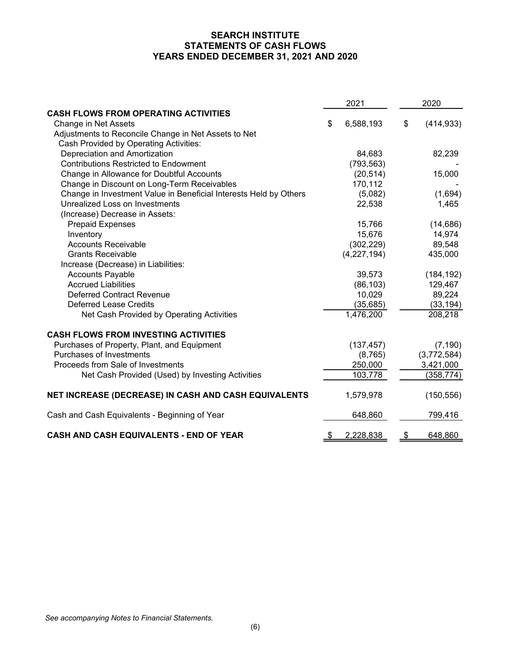## **SEARCH INSTITUTE STATEMENTS OF CASH FLOWS YEARS ENDED DECEMBER 31, 2021 AND 2020**

|                                                                   | 2021            | 2020             |
|-------------------------------------------------------------------|-----------------|------------------|
| <b>CASH FLOWS FROM OPERATING ACTIVITIES</b>                       |                 |                  |
| Change in Net Assets                                              | \$<br>6,588,193 | \$<br>(414, 933) |
| Adjustments to Reconcile Change in Net Assets to Net              |                 |                  |
| Cash Provided by Operating Activities:                            |                 |                  |
| Depreciation and Amortization                                     | 84,683          | 82,239           |
| <b>Contributions Restricted to Endowment</b>                      | (793, 563)      |                  |
| Change in Allowance for Doubtful Accounts                         | (20, 514)       | 15,000           |
| Change in Discount on Long-Term Receivables                       | 170,112         |                  |
| Change in Investment Value in Beneficial Interests Held by Others | (5,082)         | (1,694)          |
| Unrealized Loss on Investments                                    | 22,538          | 1,465            |
| (Increase) Decrease in Assets:                                    |                 |                  |
| <b>Prepaid Expenses</b>                                           | 15,766          | (14, 686)        |
| Inventory                                                         | 15,676          | 14,974           |
| <b>Accounts Receivable</b>                                        | (302, 229)      | 89,548           |
| <b>Grants Receivable</b>                                          | (4,227,194)     | 435,000          |
| Increase (Decrease) in Liabilities:                               |                 |                  |
| <b>Accounts Payable</b>                                           | 39,573          | (184, 192)       |
| <b>Accrued Liabilities</b>                                        | (86, 103)       | 129,467          |
| <b>Deferred Contract Revenue</b>                                  | 10,029          | 89,224           |
| <b>Deferred Lease Credits</b>                                     | (35,685)        | (33, 194)        |
| Net Cash Provided by Operating Activities                         | 1,476,200       | 208,218          |
| <b>CASH FLOWS FROM INVESTING ACTIVITIES</b>                       |                 |                  |
| Purchases of Property, Plant, and Equipment                       | (137, 457)      | (7, 190)         |
| Purchases of Investments                                          | (8, 765)        | (3,772,584)      |
| Proceeds from Sale of Investments                                 | 250,000         | 3,421,000        |
| Net Cash Provided (Used) by Investing Activities                  | 103,778         | (358,774)        |
| NET INCREASE (DECREASE) IN CASH AND CASH EQUIVALENTS              | 1,579,978       | (150, 556)       |
| Cash and Cash Equivalents - Beginning of Year                     | 648,860         | 799,416          |
| CASH AND CASH EQUIVALENTS - END OF YEAR                           | \$<br>2,228,838 | \$<br>648,860    |

*See accompanying Notes to Financial Statements.*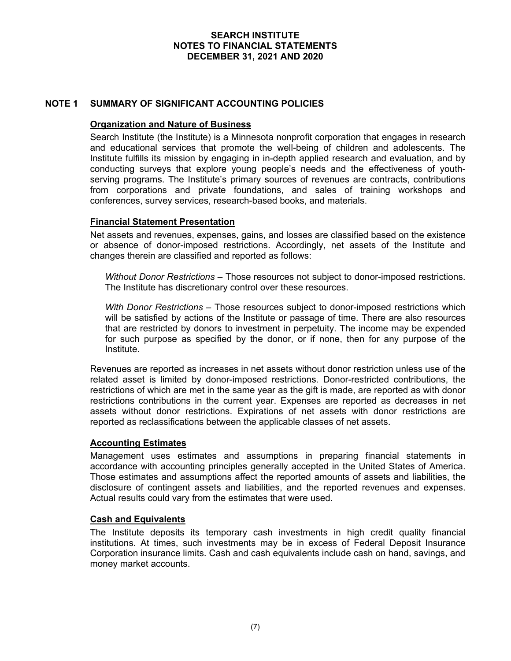### **NOTE 1 SUMMARY OF SIGNIFICANT ACCOUNTING POLICIES**

#### **Organization and Nature of Business**

Search Institute (the Institute) is a Minnesota nonprofit corporation that engages in research and educational services that promote the well-being of children and adolescents. The Institute fulfills its mission by engaging in in-depth applied research and evaluation, and by conducting surveys that explore young people's needs and the effectiveness of youthserving programs. The Institute's primary sources of revenues are contracts, contributions from corporations and private foundations, and sales of training workshops and conferences, survey services, research-based books, and materials.

### **Financial Statement Presentation**

Net assets and revenues, expenses, gains, and losses are classified based on the existence or absence of donor-imposed restrictions. Accordingly, net assets of the Institute and changes therein are classified and reported as follows:

*Without Donor Restrictions* – Those resources not subject to donor-imposed restrictions. The Institute has discretionary control over these resources.

*With Donor Restrictions* – Those resources subject to donor-imposed restrictions which will be satisfied by actions of the Institute or passage of time. There are also resources that are restricted by donors to investment in perpetuity. The income may be expended for such purpose as specified by the donor, or if none, then for any purpose of the Institute.

Revenues are reported as increases in net assets without donor restriction unless use of the related asset is limited by donor-imposed restrictions. Donor-restricted contributions, the restrictions of which are met in the same year as the gift is made, are reported as with donor restrictions contributions in the current year. Expenses are reported as decreases in net assets without donor restrictions. Expirations of net assets with donor restrictions are reported as reclassifications between the applicable classes of net assets.

## **Accounting Estimates**

Management uses estimates and assumptions in preparing financial statements in accordance with accounting principles generally accepted in the United States of America. Those estimates and assumptions affect the reported amounts of assets and liabilities, the disclosure of contingent assets and liabilities, and the reported revenues and expenses. Actual results could vary from the estimates that were used.

#### **Cash and Equivalents**

The Institute deposits its temporary cash investments in high credit quality financial institutions. At times, such investments may be in excess of Federal Deposit Insurance Corporation insurance limits. Cash and cash equivalents include cash on hand, savings, and money market accounts.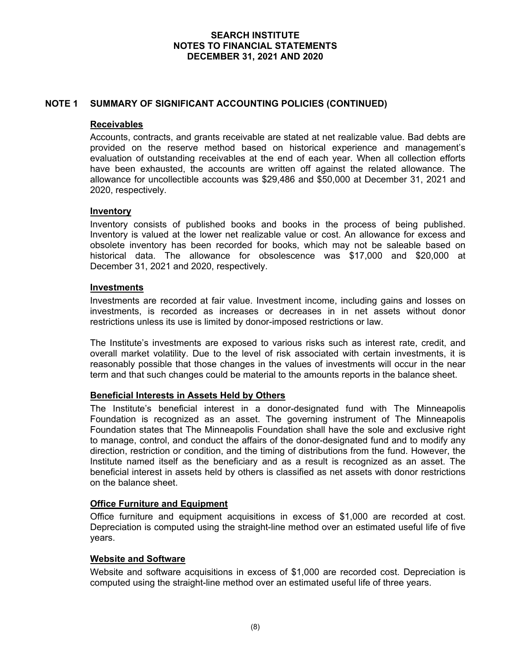## **NOTE 1 SUMMARY OF SIGNIFICANT ACCOUNTING POLICIES (CONTINUED)**

#### **Receivables**

Accounts, contracts, and grants receivable are stated at net realizable value. Bad debts are provided on the reserve method based on historical experience and management's evaluation of outstanding receivables at the end of each year. When all collection efforts have been exhausted, the accounts are written off against the related allowance. The allowance for uncollectible accounts was \$29,486 and \$50,000 at December 31, 2021 and 2020, respectively.

#### **Inventory**

Inventory consists of published books and books in the process of being published. Inventory is valued at the lower net realizable value or cost. An allowance for excess and obsolete inventory has been recorded for books, which may not be saleable based on historical data. The allowance for obsolescence was \$17,000 and \$20,000 at December 31, 2021 and 2020, respectively.

#### **Investments**

Investments are recorded at fair value. Investment income, including gains and losses on investments, is recorded as increases or decreases in in net assets without donor restrictions unless its use is limited by donor-imposed restrictions or law.

The Institute's investments are exposed to various risks such as interest rate, credit, and overall market volatility. Due to the level of risk associated with certain investments, it is reasonably possible that those changes in the values of investments will occur in the near term and that such changes could be material to the amounts reports in the balance sheet.

#### **Beneficial Interests in Assets Held by Others**

The Institute's beneficial interest in a donor-designated fund with The Minneapolis Foundation is recognized as an asset. The governing instrument of The Minneapolis Foundation states that The Minneapolis Foundation shall have the sole and exclusive right to manage, control, and conduct the affairs of the donor-designated fund and to modify any direction, restriction or condition, and the timing of distributions from the fund. However, the Institute named itself as the beneficiary and as a result is recognized as an asset. The beneficial interest in assets held by others is classified as net assets with donor restrictions on the balance sheet.

#### **Office Furniture and Equipment**

Office furniture and equipment acquisitions in excess of \$1,000 are recorded at cost. Depreciation is computed using the straight-line method over an estimated useful life of five years.

#### **Website and Software**

Website and software acquisitions in excess of \$1,000 are recorded cost. Depreciation is computed using the straight-line method over an estimated useful life of three years.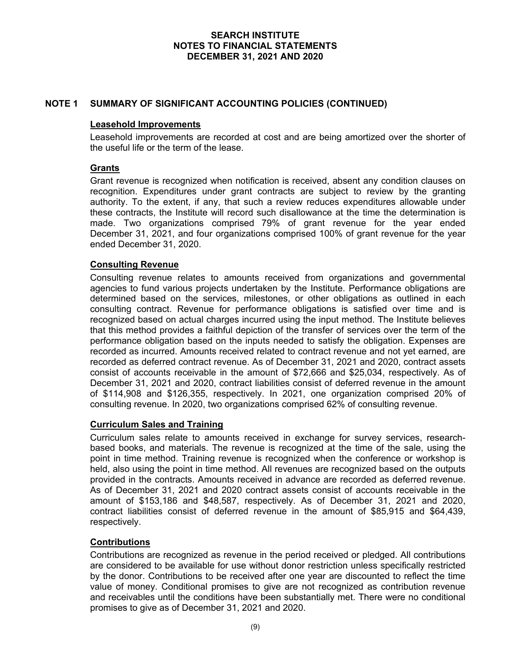## **NOTE 1 SUMMARY OF SIGNIFICANT ACCOUNTING POLICIES (CONTINUED)**

#### **Leasehold Improvements**

Leasehold improvements are recorded at cost and are being amortized over the shorter of the useful life or the term of the lease.

### **Grants**

Grant revenue is recognized when notification is received, absent any condition clauses on recognition. Expenditures under grant contracts are subject to review by the granting authority. To the extent, if any, that such a review reduces expenditures allowable under these contracts, the Institute will record such disallowance at the time the determination is made. Two organizations comprised 79% of grant revenue for the year ended December 31, 2021, and four organizations comprised 100% of grant revenue for the year ended December 31, 2020.

### **Consulting Revenue**

Consulting revenue relates to amounts received from organizations and governmental agencies to fund various projects undertaken by the Institute. Performance obligations are determined based on the services, milestones, or other obligations as outlined in each consulting contract. Revenue for performance obligations is satisfied over time and is recognized based on actual charges incurred using the input method. The Institute believes that this method provides a faithful depiction of the transfer of services over the term of the performance obligation based on the inputs needed to satisfy the obligation. Expenses are recorded as incurred. Amounts received related to contract revenue and not yet earned, are recorded as deferred contract revenue. As of December 31, 2021 and 2020, contract assets consist of accounts receivable in the amount of \$72,666 and \$25,034, respectively. As of December 31, 2021 and 2020, contract liabilities consist of deferred revenue in the amount of \$114,908 and \$126,355, respectively. In 2021, one organization comprised 20% of consulting revenue. In 2020, two organizations comprised 62% of consulting revenue.

## **Curriculum Sales and Training**

Curriculum sales relate to amounts received in exchange for survey services, researchbased books, and materials. The revenue is recognized at the time of the sale, using the point in time method. Training revenue is recognized when the conference or workshop is held, also using the point in time method. All revenues are recognized based on the outputs provided in the contracts. Amounts received in advance are recorded as deferred revenue. As of December 31, 2021 and 2020 contract assets consist of accounts receivable in the amount of \$153,186 and \$48,587, respectively. As of December 31, 2021 and 2020, contract liabilities consist of deferred revenue in the amount of \$85,915 and \$64,439, respectively.

## **Contributions**

Contributions are recognized as revenue in the period received or pledged. All contributions are considered to be available for use without donor restriction unless specifically restricted by the donor. Contributions to be received after one year are discounted to reflect the time value of money. Conditional promises to give are not recognized as contribution revenue and receivables until the conditions have been substantially met. There were no conditional promises to give as of December 31, 2021 and 2020.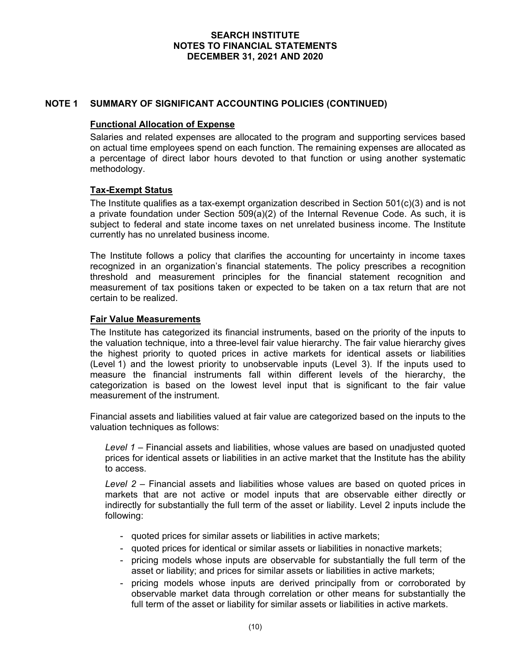## **NOTE 1 SUMMARY OF SIGNIFICANT ACCOUNTING POLICIES (CONTINUED)**

#### **Functional Allocation of Expense**

Salaries and related expenses are allocated to the program and supporting services based on actual time employees spend on each function. The remaining expenses are allocated as a percentage of direct labor hours devoted to that function or using another systematic methodology.

### **Tax-Exempt Status**

The Institute qualifies as a tax-exempt organization described in Section 501(c)(3) and is not a private foundation under Section 509(a)(2) of the Internal Revenue Code. As such, it is subject to federal and state income taxes on net unrelated business income. The Institute currently has no unrelated business income.

The Institute follows a policy that clarifies the accounting for uncertainty in income taxes recognized in an organization's financial statements. The policy prescribes a recognition threshold and measurement principles for the financial statement recognition and measurement of tax positions taken or expected to be taken on a tax return that are not certain to be realized.

#### **Fair Value Measurements**

The Institute has categorized its financial instruments, based on the priority of the inputs to the valuation technique, into a three-level fair value hierarchy. The fair value hierarchy gives the highest priority to quoted prices in active markets for identical assets or liabilities (Level 1) and the lowest priority to unobservable inputs (Level 3). If the inputs used to measure the financial instruments fall within different levels of the hierarchy, the categorization is based on the lowest level input that is significant to the fair value measurement of the instrument.

Financial assets and liabilities valued at fair value are categorized based on the inputs to the valuation techniques as follows:

*Level 1* – Financial assets and liabilities, whose values are based on unadjusted quoted prices for identical assets or liabilities in an active market that the Institute has the ability to access.

*Level 2* – Financial assets and liabilities whose values are based on quoted prices in markets that are not active or model inputs that are observable either directly or indirectly for substantially the full term of the asset or liability. Level 2 inputs include the following:

- quoted prices for similar assets or liabilities in active markets;
- quoted prices for identical or similar assets or liabilities in nonactive markets;
- pricing models whose inputs are observable for substantially the full term of the asset or liability; and prices for similar assets or liabilities in active markets;
- pricing models whose inputs are derived principally from or corroborated by observable market data through correlation or other means for substantially the full term of the asset or liability for similar assets or liabilities in active markets.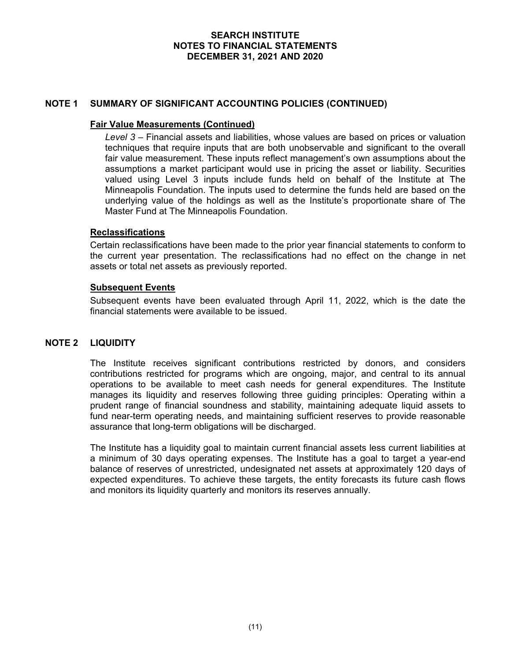### **NOTE 1 SUMMARY OF SIGNIFICANT ACCOUNTING POLICIES (CONTINUED)**

#### **Fair Value Measurements (Continued)**

*Level 3* – Financial assets and liabilities, whose values are based on prices or valuation techniques that require inputs that are both unobservable and significant to the overall fair value measurement. These inputs reflect management's own assumptions about the assumptions a market participant would use in pricing the asset or liability. Securities valued using Level 3 inputs include funds held on behalf of the Institute at The Minneapolis Foundation. The inputs used to determine the funds held are based on the underlying value of the holdings as well as the Institute's proportionate share of The Master Fund at The Minneapolis Foundation.

### **Reclassifications**

Certain reclassifications have been made to the prior year financial statements to conform to the current year presentation. The reclassifications had no effect on the change in net assets or total net assets as previously reported.

#### **Subsequent Events**

Subsequent events have been evaluated through April 11, 2022, which is the date the financial statements were available to be issued.

#### **NOTE 2 LIQUIDITY**

The Institute receives significant contributions restricted by donors, and considers contributions restricted for programs which are ongoing, major, and central to its annual operations to be available to meet cash needs for general expenditures. The Institute manages its liquidity and reserves following three guiding principles: Operating within a prudent range of financial soundness and stability, maintaining adequate liquid assets to fund near-term operating needs, and maintaining sufficient reserves to provide reasonable assurance that long-term obligations will be discharged.

The Institute has a liquidity goal to maintain current financial assets less current liabilities at a minimum of 30 days operating expenses. The Institute has a goal to target a year-end balance of reserves of unrestricted, undesignated net assets at approximately 120 days of expected expenditures. To achieve these targets, the entity forecasts its future cash flows and monitors its liquidity quarterly and monitors its reserves annually.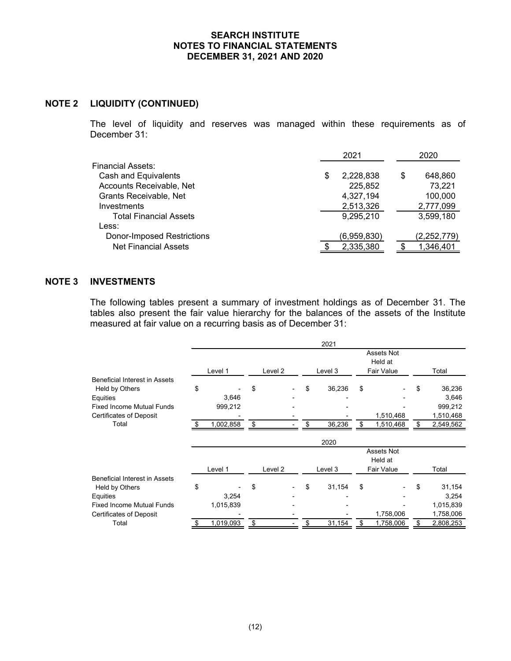## **NOTE 2 LIQUIDITY (CONTINUED)**

The level of liquidity and reserves was managed within these requirements as of December 31:

|                                   | 2021            |   | 2020        |
|-----------------------------------|-----------------|---|-------------|
| Financial Assets:                 |                 |   |             |
| Cash and Equivalents              | \$<br>2,228,838 | S | 648.860     |
| Accounts Receivable, Net          | 225,852         |   | 73,221      |
| Grants Receivable, Net            | 4,327,194       |   | 100,000     |
| Investments                       | 2,513,326       |   | 2,777,099   |
| <b>Total Financial Assets</b>     | 9,295,210       |   | 3,599,180   |
| Less:                             |                 |   |             |
| <b>Donor-Imposed Restrictions</b> | (6,959,830)     |   | (2,252,779) |
| <b>Net Financial Assets</b>       | 2,335,380       |   | 1,346,401   |
|                                   |                 |   |             |

## **NOTE 3 INVESTMENTS**

The following tables present a summary of investment holdings as of December 31. The tables also present the fair value hierarchy for the balances of the assets of the Institute measured at fair value on a recurring basis as of December 31:

|                                      |      |           |         |     | 2021    |    |                       |    |           |  |
|--------------------------------------|------|-----------|---------|-----|---------|----|-----------------------|----|-----------|--|
|                                      |      |           |         |     |         |    | Assets Not<br>Held at |    |           |  |
|                                      |      | Level 1   | Level 2 |     | Level 3 |    | Fair Value            |    | Total     |  |
| Beneficial Interest in Assets        |      |           |         |     |         |    |                       |    |           |  |
| Held by Others                       | \$   |           | \$      | \$  | 36,236  | \$ |                       | \$ | 36,236    |  |
| Equities                             |      | 3,646     |         |     |         |    |                       |    | 3,646     |  |
| <b>Fixed Income Mutual Funds</b>     |      | 999,212   |         |     |         |    |                       |    | 999,212   |  |
| <b>Certificates of Deposit</b>       |      |           |         |     |         |    | 1,510,468             |    | 1,510,468 |  |
| Total                                | - \$ | 1,002,858 | \$      | \$. | 36,236  | \$ | 1,510,468             | S  | 2,549,562 |  |
|                                      |      |           |         |     |         |    |                       |    |           |  |
|                                      |      |           |         |     | 2020    |    |                       |    |           |  |
|                                      |      |           |         |     |         |    | Assets Not<br>Held at |    |           |  |
|                                      |      | Level 1   | Level 2 |     | Level 3 |    | <b>Fair Value</b>     |    | Total     |  |
| <b>Beneficial Interest in Assets</b> |      |           |         |     |         |    |                       |    |           |  |
| Held by Others                       | \$   |           | \$      | \$  | 31,154  | \$ |                       | \$ | 31,154    |  |
| Equities                             |      | 3,254     |         |     |         |    |                       |    | 3,254     |  |
| <b>Fixed Income Mutual Funds</b>     |      | 1,015,839 |         |     |         |    |                       |    | 1,015,839 |  |
| <b>Certificates of Deposit</b>       |      |           |         |     |         |    | 1,758,006             |    | 1,758,006 |  |
| Total                                | -\$  | 1,019,093 | \$      | S   | 31,154  | \$ | 1,758,006             | \$ | 2,808,253 |  |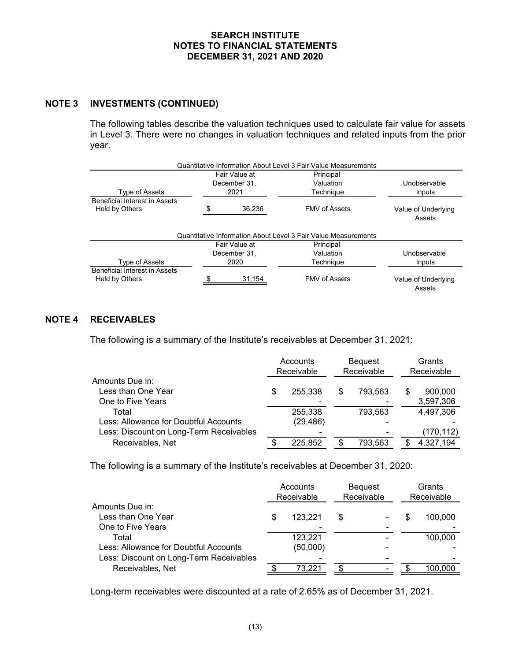## **NOTE 3 INVESTMENTS (CONTINUED)**

The following tables describe the valuation techniques used to calculate fair value for assets in Level 3. There were no changes in valuation techniques and related inputs from the prior year.

|                               |               | Quantitative Information About Level 3 Fair Value Measurements |                               |
|-------------------------------|---------------|----------------------------------------------------------------|-------------------------------|
|                               | Fair Value at | Principal                                                      |                               |
|                               | December 31,  | Valuation                                                      | Unobservable                  |
| Type of Assets                | 2021          | Technique                                                      | Inputs                        |
| Beneficial Interest in Assets |               |                                                                |                               |
| Held by Others                | 36,236        | <b>FMV of Assets</b>                                           | Value of Underlying<br>Assets |
|                               |               |                                                                |                               |
|                               |               | Quantitative Information About Level 3 Fair Value Measurements |                               |
|                               | Fair Value at | Principal                                                      |                               |
|                               | December 31,  | Valuation                                                      | Unobservable                  |
| Type of Assets                | 2020          | Technique                                                      | Inputs                        |
| Beneficial Interest in Assets |               |                                                                |                               |
| Held by Others                | 31,154        | <b>FMV of Assets</b>                                           | Value of Underlying<br>Assets |

## **NOTE 4 RECEIVABLES**

The following is a summary of the Institute's receivables at December 31, 2021:

|                                         | Accounts<br>Receivable |           | <b>Bequest</b><br>Receivable | Grants<br>Receivable |
|-----------------------------------------|------------------------|-----------|------------------------------|----------------------|
| Amounts Due in:                         |                        |           |                              |                      |
| Less than One Year                      | S                      | 255.338   | \$<br>793,563                | 900,000              |
| One to Five Years                       |                        |           |                              | 3,597,306            |
| Total                                   |                        | 255,338   | 793,563                      | 4,497,306            |
| Less: Allowance for Doubtful Accounts   |                        | (29, 486) |                              |                      |
| Less: Discount on Long-Term Receivables |                        |           |                              | (170, 112)           |
| Receivables, Net                        |                        | 225,852   | 793,563                      | 4,327,194            |

The following is a summary of the Institute's receivables at December 31, 2020:

|                                         | Accounts<br>Receivable |          | <b>Beguest</b><br>Receivable | Grants<br>Receivable |         |  |
|-----------------------------------------|------------------------|----------|------------------------------|----------------------|---------|--|
| Amounts Due in:                         |                        |          |                              |                      |         |  |
| Less than One Year                      | S                      | 123.221  | \$<br>$\blacksquare$         |                      | 100.000 |  |
| One to Five Years                       |                        |          |                              |                      |         |  |
| Total                                   |                        | 123,221  |                              |                      | 100.000 |  |
| Less: Allowance for Doubtful Accounts   |                        | (50,000) |                              |                      |         |  |
| Less: Discount on Long-Term Receivables |                        |          |                              |                      |         |  |
| Receivables, Net                        |                        | 73.221   | $\blacksquare$               |                      | 100,000 |  |
|                                         |                        |          |                              |                      |         |  |

Long-term receivables were discounted at a rate of 2.65% as of December 31, 2021.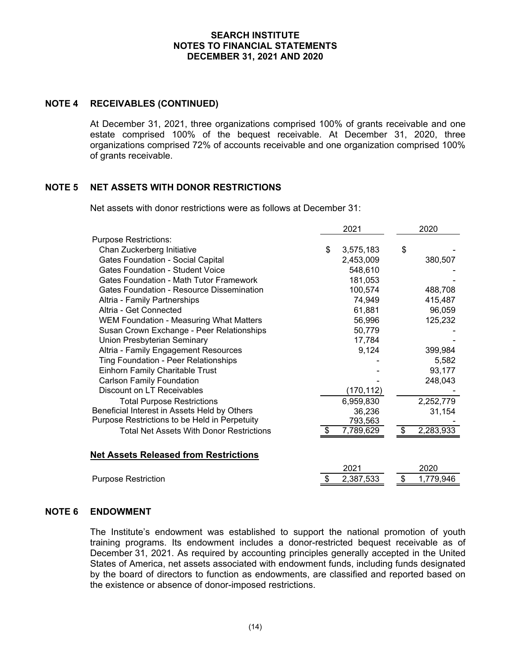### **NOTE 4 RECEIVABLES (CONTINUED)**

At December 31, 2021, three organizations comprised 100% of grants receivable and one estate comprised 100% of the bequest receivable. At December 31, 2020, three organizations comprised 72% of accounts receivable and one organization comprised 100% of grants receivable.

## **NOTE 5 NET ASSETS WITH DONOR RESTRICTIONS**

Net assets with donor restrictions were as follows at December 31:

|                                                  |    | 2021       | 2020            |
|--------------------------------------------------|----|------------|-----------------|
| <b>Purpose Restrictions:</b>                     |    |            |                 |
| Chan Zuckerberg Initiative                       | \$ | 3,575,183  | \$              |
| <b>Gates Foundation - Social Capital</b>         |    | 2,453,009  | 380,507         |
| <b>Gates Foundation - Student Voice</b>          |    | 548,610    |                 |
| Gates Foundation - Math Tutor Framework          |    | 181,053    |                 |
| <b>Gates Foundation - Resource Dissemination</b> |    | 100,574    | 488,708         |
| Altria - Family Partnerships                     |    | 74,949     | 415,487         |
| Altria - Get Connected                           |    | 61,881     | 96,059          |
| <b>WEM Foundation - Measuring What Matters</b>   |    | 56,996     | 125,232         |
| Susan Crown Exchange - Peer Relationships        |    | 50,779     |                 |
| Union Presbyterian Seminary                      |    | 17,784     |                 |
| Altria - Family Engagement Resources             |    | 9,124      | 399,984         |
| Ting Foundation - Peer Relationships             |    |            | 5,582           |
| Einhorn Family Charitable Trust                  |    |            | 93,177          |
| <b>Carlson Family Foundation</b>                 |    |            | 248,043         |
| Discount on LT Receivables                       |    | (170, 112) |                 |
| <b>Total Purpose Restrictions</b>                |    | 6,959,830  | 2,252,779       |
| Beneficial Interest in Assets Held by Others     |    | 36,236     | 31,154          |
| Purpose Restrictions to be Held in Perpetuity    |    | 793,563    |                 |
| <b>Total Net Assets With Donor Restrictions</b>  | S  | 7,789,629  | \$<br>2,283,933 |
|                                                  |    |            |                 |
| <b>Net Assets Released from Restrictions</b>     |    |            |                 |
|                                                  |    | 2021       | 2020            |
| <b>Purpose Restriction</b>                       | \$ | 2,387,533  | \$<br>1,779,946 |

## **NOTE 6 ENDOWMENT**

The Institute's endowment was established to support the national promotion of youth training programs. Its endowment includes a donor-restricted bequest receivable as of December 31, 2021. As required by accounting principles generally accepted in the United States of America, net assets associated with endowment funds, including funds designated by the board of directors to function as endowments, are classified and reported based on the existence or absence of donor-imposed restrictions.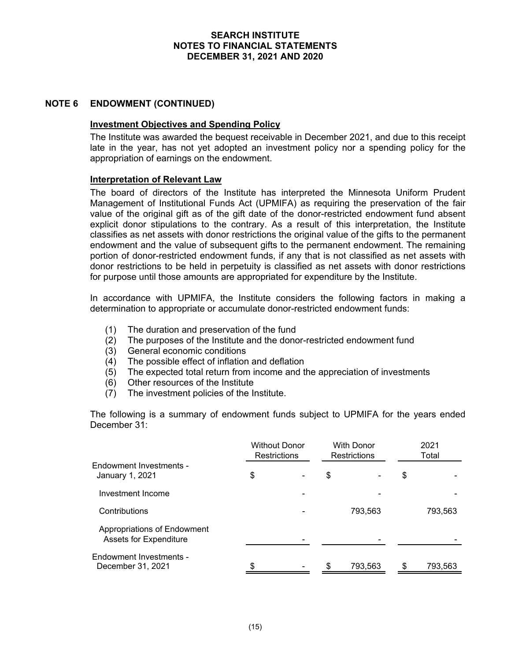#### **NOTE 6 ENDOWMENT (CONTINUED)**

#### **Investment Objectives and Spending Policy**

The Institute was awarded the bequest receivable in December 2021, and due to this receipt late in the year, has not yet adopted an investment policy nor a spending policy for the appropriation of earnings on the endowment.

#### **Interpretation of Relevant Law**

The board of directors of the Institute has interpreted the Minnesota Uniform Prudent Management of Institutional Funds Act (UPMIFA) as requiring the preservation of the fair value of the original gift as of the gift date of the donor-restricted endowment fund absent explicit donor stipulations to the contrary. As a result of this interpretation, the Institute classifies as net assets with donor restrictions the original value of the gifts to the permanent endowment and the value of subsequent gifts to the permanent endowment. The remaining portion of donor-restricted endowment funds, if any that is not classified as net assets with donor restrictions to be held in perpetuity is classified as net assets with donor restrictions for purpose until those amounts are appropriated for expenditure by the Institute.

In accordance with UPMIFA, the Institute considers the following factors in making a determination to appropriate or accumulate donor-restricted endowment funds:

- (1) The duration and preservation of the fund
- (2) The purposes of the Institute and the donor-restricted endowment fund
- (3) General economic conditions
- (4) The possible effect of inflation and deflation
- (5) The expected total return from income and the appreciation of investments
- (6) Other resources of the Institute
- (7) The investment policies of the Institute.

The following is a summary of endowment funds subject to UPMIFA for the years ended December 31:

|                                                              | Restrictions | <b>Without Donor</b> | With Donor<br>Restrictions |    | 2021<br>Total |  |  |
|--------------------------------------------------------------|--------------|----------------------|----------------------------|----|---------------|--|--|
| Endowment Investments -<br>January 1, 2021                   | \$           |                      | \$                         | \$ |               |  |  |
| Investment Income                                            |              |                      |                            |    |               |  |  |
| Contributions                                                |              |                      | 793,563                    |    | 793,563       |  |  |
| Appropriations of Endowment<br><b>Assets for Expenditure</b> |              |                      |                            |    |               |  |  |
| Endowment Investments -<br>December 31, 2021                 |              |                      | 793,563                    | ß. | 793,563       |  |  |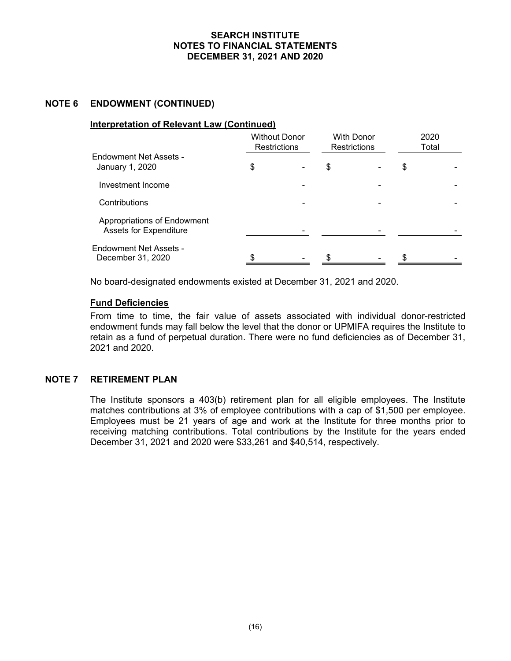### **NOTE 6 ENDOWMENT (CONTINUED)**

### **Interpretation of Relevant Law (Continued)**

|                                                              | <b>Without Donor</b><br>Restrictions |  | <b>With Donor</b><br>Restrictions |  | 2020<br>Total |  |
|--------------------------------------------------------------|--------------------------------------|--|-----------------------------------|--|---------------|--|
| Endowment Net Assets -<br>January 1, 2020                    | \$                                   |  | \$                                |  | \$            |  |
| Investment Income                                            |                                      |  |                                   |  |               |  |
| Contributions                                                |                                      |  |                                   |  |               |  |
| Appropriations of Endowment<br><b>Assets for Expenditure</b> |                                      |  |                                   |  |               |  |
| Endowment Net Assets -<br>December 31, 2020                  |                                      |  |                                   |  |               |  |

No board-designated endowments existed at December 31, 2021 and 2020.

#### **Fund Deficiencies**

From time to time, the fair value of assets associated with individual donor-restricted endowment funds may fall below the level that the donor or UPMIFA requires the Institute to retain as a fund of perpetual duration. There were no fund deficiencies as of December 31, 2021 and 2020.

#### **NOTE 7 RETIREMENT PLAN**

The Institute sponsors a 403(b) retirement plan for all eligible employees. The Institute matches contributions at 3% of employee contributions with a cap of \$1,500 per employee. Employees must be 21 years of age and work at the Institute for three months prior to receiving matching contributions. Total contributions by the Institute for the years ended December 31, 2021 and 2020 were \$33,261 and \$40,514, respectively.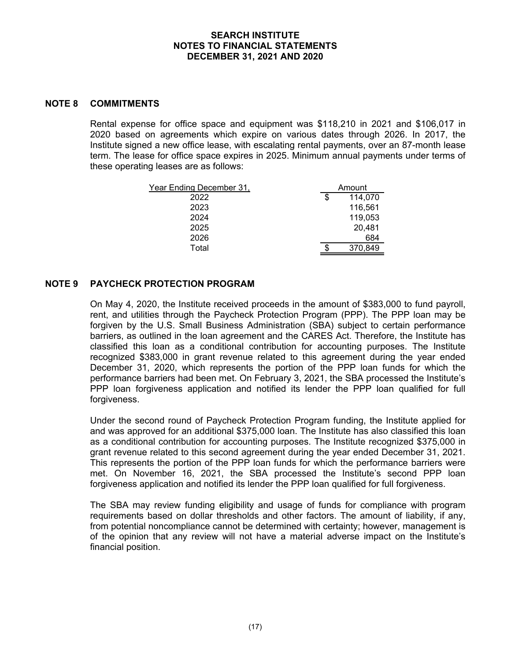#### **NOTE 8 COMMITMENTS**

Rental expense for office space and equipment was \$118,210 in 2021 and \$106,017 in 2020 based on agreements which expire on various dates through 2026. In 2017, the Institute signed a new office lease, with escalating rental payments, over an 87-month lease term. The lease for office space expires in 2025. Minimum annual payments under terms of these operating leases are as follows:

| Year Ending December 31, |    | Amount  |  |
|--------------------------|----|---------|--|
| 2022                     | \$ | 114,070 |  |
| 2023                     |    | 116,561 |  |
| 2024                     |    | 119,053 |  |
| 2025                     |    | 20,481  |  |
| 2026                     |    | 684     |  |
| Total                    | S  | 370,849 |  |

#### **NOTE 9 PAYCHECK PROTECTION PROGRAM**

On May 4, 2020, the Institute received proceeds in the amount of \$383,000 to fund payroll, rent, and utilities through the Paycheck Protection Program (PPP). The PPP loan may be forgiven by the U.S. Small Business Administration (SBA) subject to certain performance barriers, as outlined in the loan agreement and the CARES Act. Therefore, the Institute has classified this loan as a conditional contribution for accounting purposes. The Institute recognized \$383,000 in grant revenue related to this agreement during the year ended December 31, 2020, which represents the portion of the PPP loan funds for which the performance barriers had been met. On February 3, 2021, the SBA processed the Institute's PPP loan forgiveness application and notified its lender the PPP loan qualified for full forgiveness.

Under the second round of Paycheck Protection Program funding, the Institute applied for and was approved for an additional \$375,000 loan. The Institute has also classified this loan as a conditional contribution for accounting purposes. The Institute recognized \$375,000 in grant revenue related to this second agreement during the year ended December 31, 2021. This represents the portion of the PPP loan funds for which the performance barriers were met. On November 16, 2021, the SBA processed the Institute's second PPP loan forgiveness application and notified its lender the PPP loan qualified for full forgiveness.

The SBA may review funding eligibility and usage of funds for compliance with program requirements based on dollar thresholds and other factors. The amount of liability, if any, from potential noncompliance cannot be determined with certainty; however, management is of the opinion that any review will not have a material adverse impact on the Institute's financial position.